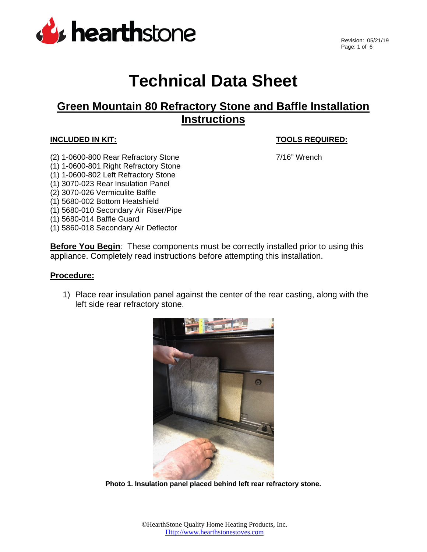

# **Technical Data Sheet**

# **Green Mountain 80 Refractory Stone and Baffle Installation Instructions**

## **INCLUDED IN KIT: TOOLS REQUIRED:**

- (2) 1-0600-800 Rear Refractory Stone 7/16" Wrench
	-
- 
- (1) 1-0600-801 Right Refractory Stone
- (1) 1-0600-802 Left Refractory Stone
- (1) 3070-023 Rear Insulation Panel
- (2) 3070-026 Vermiculite Baffle
- (1) 5680-002 Bottom Heatshield
- (1) 5680-010 Secondary Air Riser/Pipe
- (1) 5680-014 Baffle Guard
- (1) 5860-018 Secondary Air Deflector

**Before You Begin**: These components must be correctly installed prior to using this appliance. Completely read instructions before attempting this installation.

### **Procedure:**

1) Place rear insulation panel against the center of the rear casting, along with the left side rear refractory stone.



**Photo 1. Insulation panel placed behind left rear refractory stone.**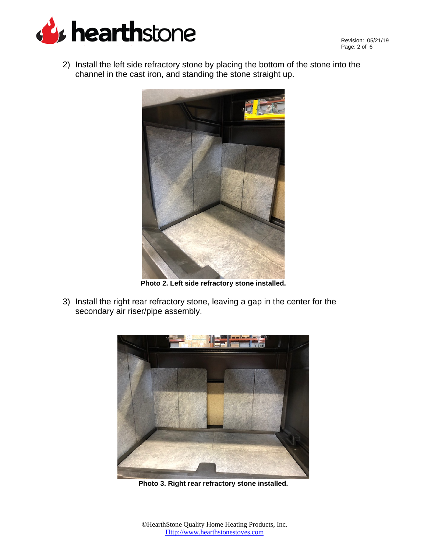

2) Install the left side refractory stone by placing the bottom of the stone into the channel in the cast iron, and standing the stone straight up.



**Photo 2. Left side refractory stone installed.**

3) Install the right rear refractory stone, leaving a gap in the center for the secondary air riser/pipe assembly.



**Photo 3. Right rear refractory stone installed.**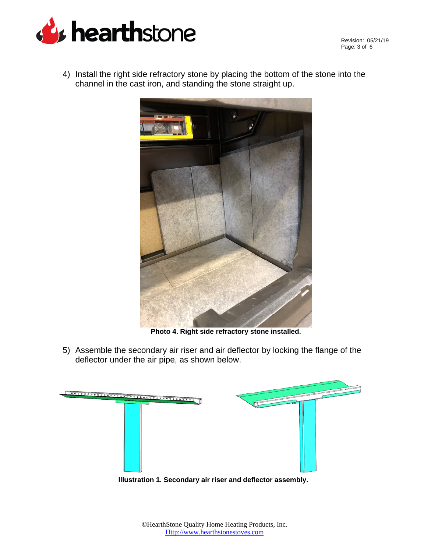

Revision: 05/21/19 Page: 3 of 6

4) Install the right side refractory stone by placing the bottom of the stone into the channel in the cast iron, and standing the stone straight up.



**Photo 4. Right side refractory stone installed.**

5) Assemble the secondary air riser and air deflector by locking the flange of the deflector under the air pipe, as shown below.



**Illustration 1. Secondary air riser and deflector assembly.**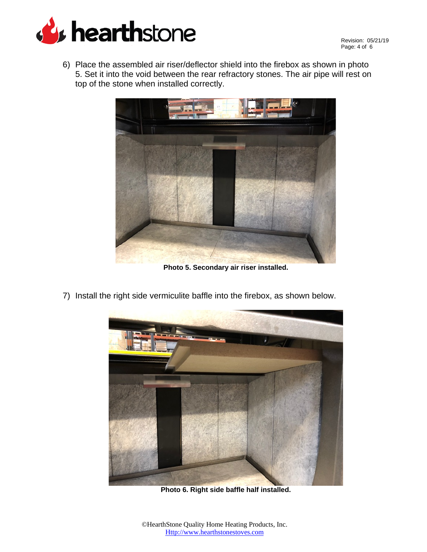

6) Place the assembled air riser/deflector shield into the firebox as shown in photo 5. Set it into the void between the rear refractory stones. The air pipe will rest on top of the stone when installed correctly.



**Photo 5. Secondary air riser installed.**

- 
- 7) Install the right side vermiculite baffle into the firebox, as shown below.

**Photo 6. Right side baffle half installed.**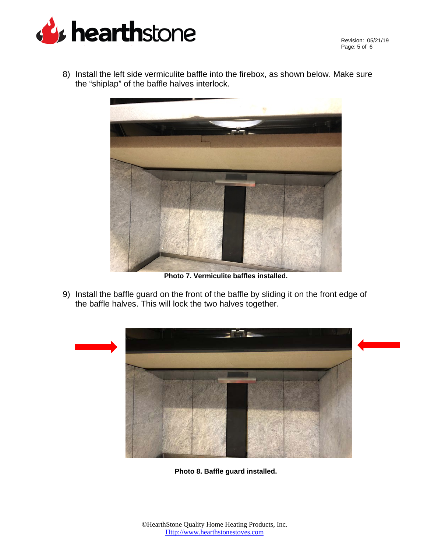

Revision: 05/21/19 Page: 5 of 6

8) Install the left side vermiculite baffle into the firebox, as shown below. Make sure the "shiplap" of the baffle halves interlock.



**Photo 7. Vermiculite baffles installed.**

9) Install the baffle guard on the front of the baffle by sliding it on the front edge of the baffle halves. This will lock the two halves together.



**Photo 8. Baffle guard installed.**